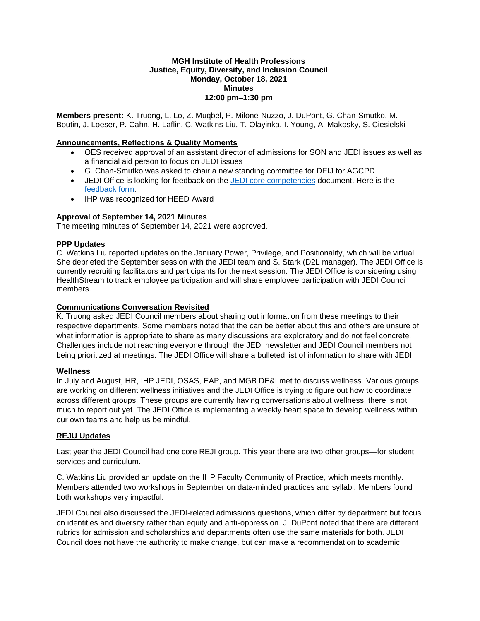### **MGH Institute of Health Professions Justice, Equity, Diversity, and Inclusion Council Monday, October 18, 2021 Minutes 12:00 pm–1:30 pm**

**Members present:** K. Truong, L. Lo, Z. Muqbel, P. Milone-Nuzzo, J. DuPont, G. Chan-Smutko, M. Boutin, J. Loeser, P. Cahn, H. Laflin, C. Watkins Liu, T. Olayinka, I. Young, A. Makosky, S. Ciesielski

# **Announcements, Reflections & Quality Moments**

- OES received approval of an assistant director of admissions for SON and JEDI issues as well as a financial aid person to focus on JEDI issues
- G. Chan-Smutko was asked to chair a new standing committee for DEIJ for AGCPD
- JEDI Office is looking for feedback on the [JEDI core competencies](https://www.dropbox.com/scl/fi/bvixd6z2y9ws5f1agkq9e/EDITION-5-JEDI-Competencies-1.docx?dl=0&rlkey=wg0lbgvutp58x4te265hymvi4) document. Here is the [feedback form.](https://forms.office.com/r/STtExQnbmF)
- IHP was recognized for HEED Award

## **Approval of September 14, 2021 Minutes**

The meeting minutes of September 14, 2021 were approved.

## **PPP Updates**

C. Watkins Liu reported updates on the January Power, Privilege, and Positionality, which will be virtual. She debriefed the September session with the JEDI team and S. Stark (D2L manager). The JEDI Office is currently recruiting facilitators and participants for the next session. The JEDI Office is considering using HealthStream to track employee participation and will share employee participation with JEDI Council members.

### **Communications Conversation Revisited**

K. Truong asked JEDI Council members about sharing out information from these meetings to their respective departments. Some members noted that the can be better about this and others are unsure of what information is appropriate to share as many discussions are exploratory and do not feel concrete. Challenges include not reaching everyone through the JEDI newsletter and JEDI Council members not being prioritized at meetings. The JEDI Office will share a bulleted list of information to share with JEDI

### **Wellness**

In July and August, HR, IHP JEDI, OSAS, EAP, and MGB DE&I met to discuss wellness. Various groups are working on different wellness initiatives and the JEDI Office is trying to figure out how to coordinate across different groups. These groups are currently having conversations about wellness, there is not much to report out yet. The JEDI Office is implementing a weekly heart space to develop wellness within our own teams and help us be mindful.

### **REJU Updates**

Last year the JEDI Council had one core REJI group. This year there are two other groups—for student services and curriculum.

C. Watkins Liu provided an update on the IHP Faculty Community of Practice, which meets monthly. Members attended two workshops in September on data-minded practices and syllabi. Members found both workshops very impactful.

JEDI Council also discussed the JEDI-related admissions questions, which differ by department but focus on identities and diversity rather than equity and anti-oppression. J. DuPont noted that there are different rubrics for admission and scholarships and departments often use the same materials for both. JEDI Council does not have the authority to make change, but can make a recommendation to academic